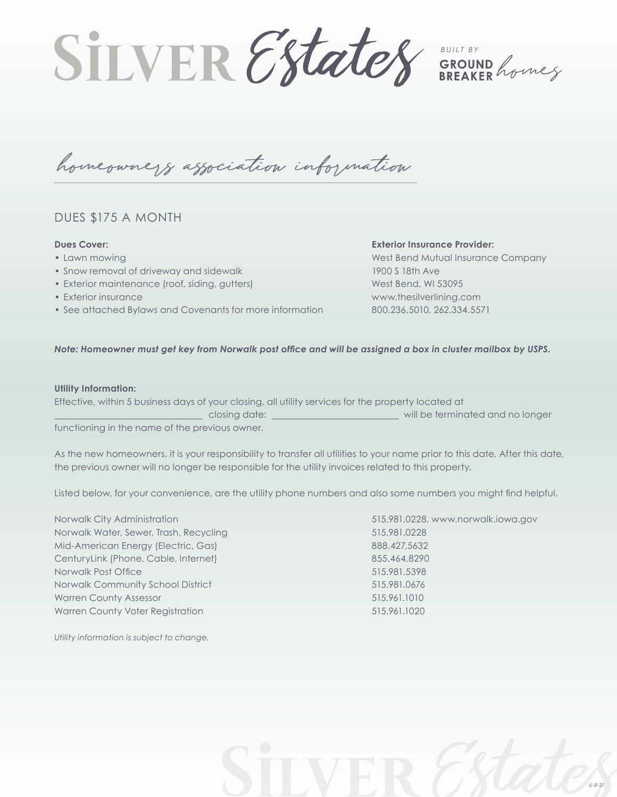**SILVER Estates** GROUND Averes

homeowners association information

# DUES \$175 A MONTH

### **Dues Cover:**

- Lawn mowing
- Snow removal of driveway and sidewalk
- Exterior maintenance (roof, siding, gutters)
- Exterior insurance
- See attached Bylaws and Covenants for more information

## **Exterior Insurance Provider:**

West Bend Mutual Insurance Company 1900 S 18th Ave West Bend, WI 53095 www.thesilverlining.com 800.236.5010, 262.334.5571

*6-8-21*

### *Note: Homeowner must get key from Norwalk post office and will be assigned a box in cluster mailbox by USPS.*

#### **Utility Information:**

|                                               | Effective, within 5 business days of your closing, all utility services for the property located at |                                  |
|-----------------------------------------------|-----------------------------------------------------------------------------------------------------|----------------------------------|
|                                               | closing date:                                                                                       | will be terminated and no longer |
| functioning in the name of the provisue owner |                                                                                                     |                                  |

functioning in the name of the previous owner.

As the new homeowners, it is your responsibility to transfer all utilities to your name prior to this date. After this date, the previous owner will no longer be responsible for the utility invoices related to this property.

Listed below, for your convenience, are the utility phone numbers and also some numbers you might find helpful.

Norwalk City Administration 515.981.0228, www.norwalk.iowa.gov Norwalk Water, Sewer, Trash, Recycling 515.981.0228 Mid-American Energy (Electric, Gas) 888.427.5632 CenturyLink (Phone, Cable, Internet) 855.464.8290 Norwalk Post Office 515.981.5398 Norwalk Community School District 515.981.0676 Warren County Assessor 615.961.1010 Warren County Voter Registration 515.961.1020

*Utility information is subject to change.*